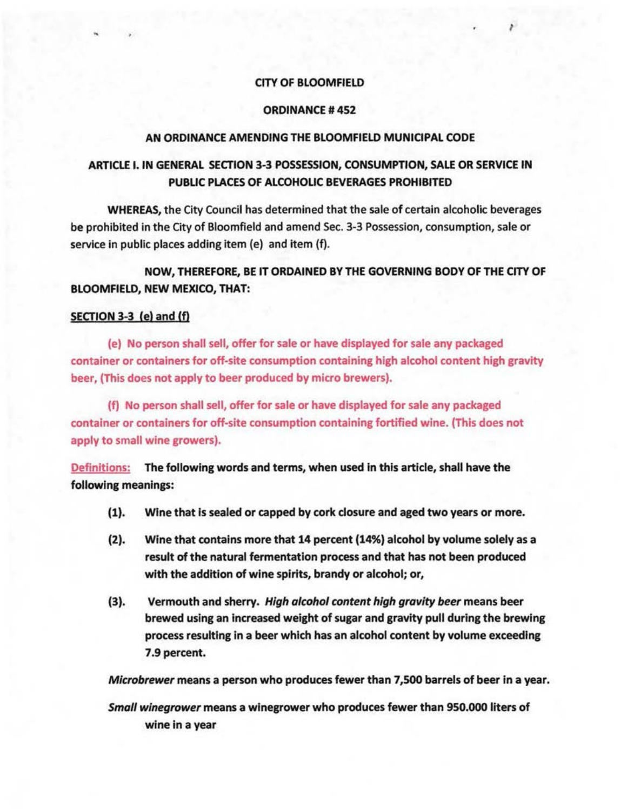### CITY OF BLOOMFIELD

I

## ORDINANCE# 452

#### AN ORDINANCE AMENDING THE BLOOMFIELD MUNICIPAL CODE

# ARTICLE I. IN GENERAL SECTION 3-3 POSSESSION, CONSUMPTION, SALE OR SERVICE IN PUBLIC PLACES OF ALCOHOLIC BEVERAGES PROHIBITED

WHEREAS, the City Council has determined that the sale of certain alcoholic beverages be prohibited in the City of Bloomfield and amend Sec. 3-3 Possession, consumption, sale or service in public places adding item (e) and item (f).

NOW, THEREFORE, BE IT ORDAINED BY THE GOVERNING BODY OF THE CITY OF BLOOMFIELD, NEW MEXICO, THAT:

## SECTION 3-3 (e) and (f)

(e) No person shall sell, offer for sale or have displayed for sale any packaged container or containers for off-site consumption containing high alcohol content high gravity beer, (This does not apply to beer produced by micro brewers).

(f) No person shall sell, offer for sale or have displayed for sale any packaged container or containers for off-site consumption containing fortified wine. (This does not apply to small wine growers).

Definitions: The following words and terms, when used in this article, shall have the following meanings:

- (1). Wine that is sealed or capped by cork closure and aged two years or more.
- (2). Wine that contains more that 14 percent (14%) alcohol by volume solely as a result of the natural fermentation process and that has not been produced with the addition of wine spirits, brandy or alcohol; or,
- (3). Vermouth and sherry. High alcohol content high gravity beer means beer brewed using an increased weight of sugar and gravity pull during the brewing process resulting in a beer which has an alcohol content by volume exceeding 7 .9 percent.

Microbrewer means a person who produces fewer than 7,500 barrels of beer in a year.

Small winegrower means a winegrower who produces fewer than 950.000 liters of wine in a year